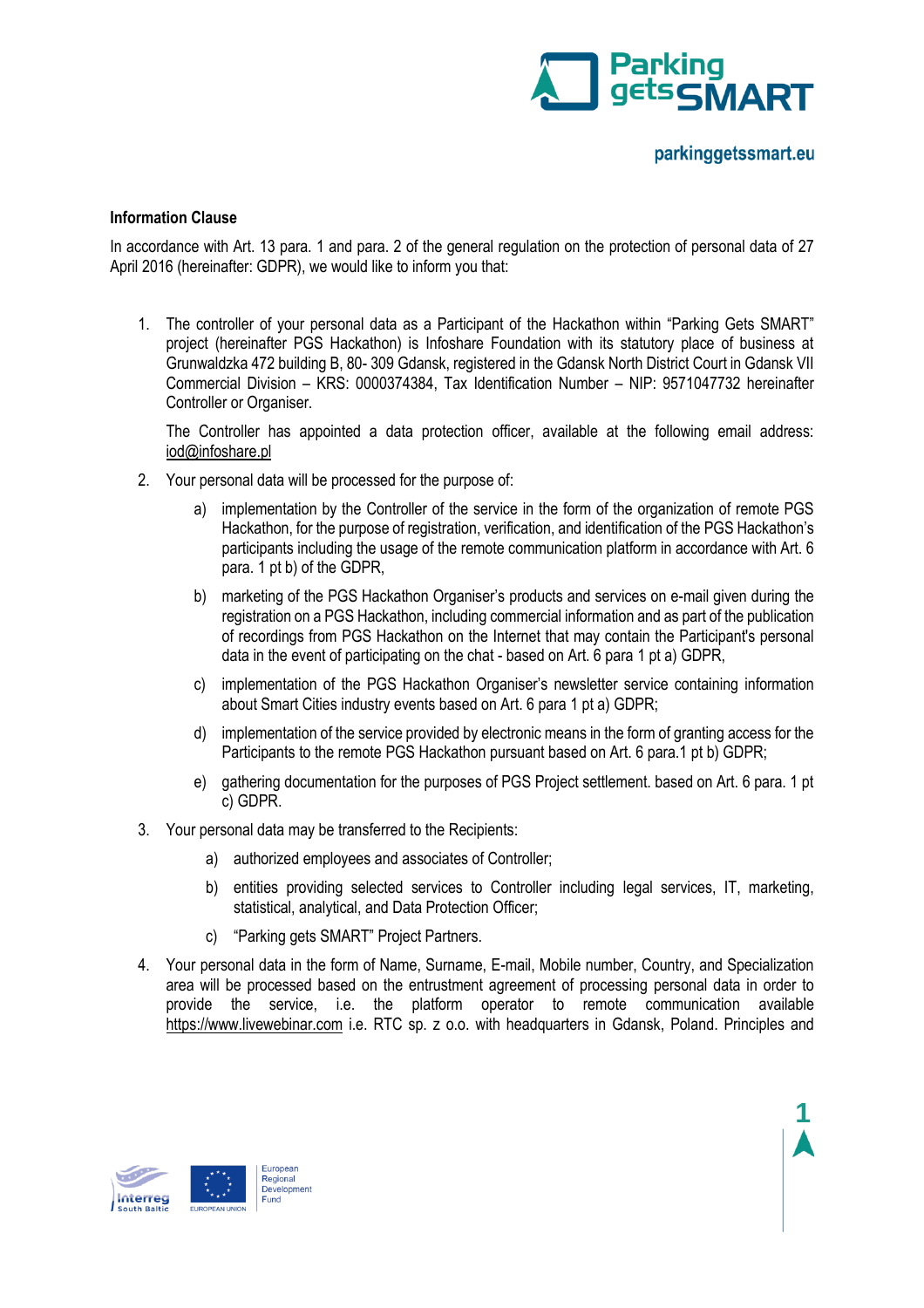

**1**

## **Information Clause**

In accordance with Art. 13 para. 1 and para. 2 of the general regulation on the protection of personal data of 27 April 2016 (hereinafter: GDPR), we would like to inform you that:

1. The controller of your personal data as a Participant of the Hackathon within "Parking Gets SMART" project (hereinafter PGS Hackathon) is Infoshare Foundation with its statutory place of business at Grunwaldzka 472 building B, 80- 309 Gdansk, registered in the Gdansk North District Court in Gdansk VII Commercial Division – KRS: 0000374384, Tax Identification Number – NIP: 9571047732 hereinafter Controller or Organiser.

The Controller has appointed a data protection officer, available at the following email address: [iod@infoshare.pl](mailto:iod@infoshare.pl)

- 2. Your personal data will be processed for the purpose of:
	- a) implementation by the Controller of the service in the form of the organization of remote PGS Hackathon, for the purpose of registration, verification, and identification of the PGS Hackathon's participants including the usage of the remote communication platform in accordance with Art. 6 para. 1 pt b) of the GDPR,
	- b) marketing of the PGS Hackathon Organiser's products and services on e-mail given during the registration on a PGS Hackathon, including commercial information and as part of the publication of recordings from PGS Hackathon on the Internet that may contain the Participant's personal data in the event of participating on the chat - based on Art. 6 para 1 pt a) GDPR,
	- c) implementation of the PGS Hackathon Organiser's newsletter service containing information about Smart Cities industry events based on Art. 6 para 1 pt a) GDPR;
	- d) implementation of the service provided by electronic means in the form of granting access for the Participants to the remote PGS Hackathon pursuant based on Art. 6 para.1 pt b) GDPR;
	- e) gathering documentation for the purposes of PGS Project settlement. based on Art. 6 para. 1 pt c) GDPR.
- 3. Your personal data may be transferred to the Recipients:
	- a) authorized employees and associates of Controller;
	- b) entities providing selected services to Controller including legal services, IT, marketing, statistical, analytical, and Data Protection Officer;
	- c) "Parking gets SMART" Project Partners.
- 4. Your personal data in the form of Name, Surname, E-mail, Mobile number, Country, and Specialization area will be processed based on the entrustment agreement of processing personal data in order to provide the service, i.e. the platform operator to remote communication available [https://www.livewebinar.com](https://www.livewebinar.com/) i.e. RTC sp. z o.o. with headquarters in Gdansk, Poland. Principles and